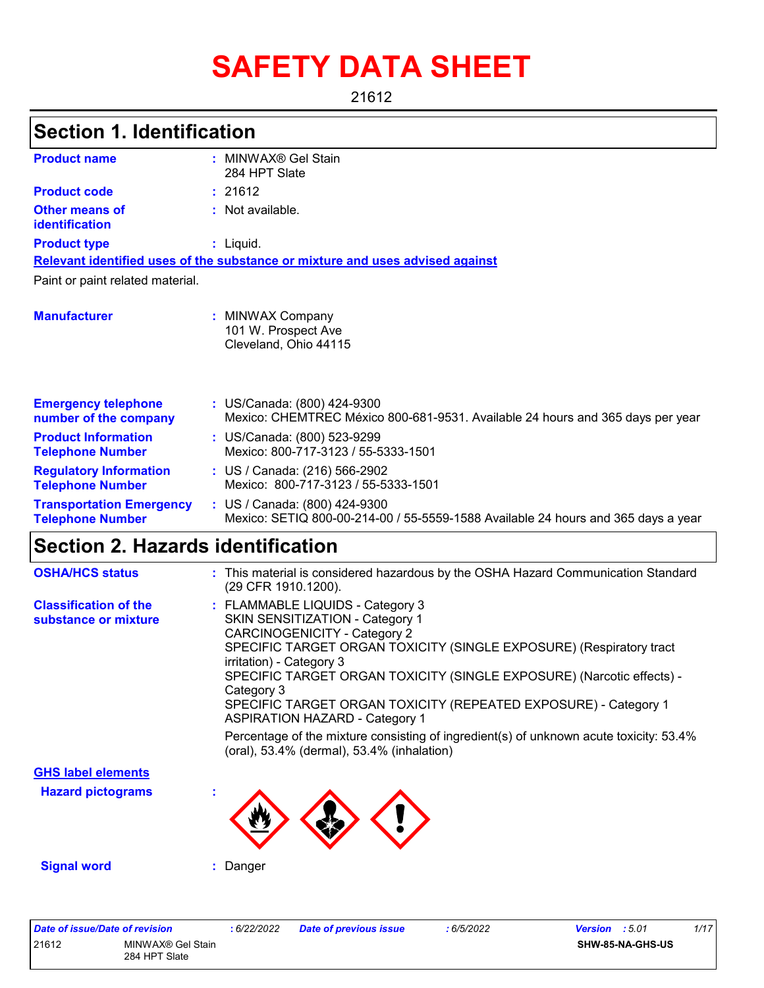# **SAFETY DATA SHEET**

21612

# **Section 1. Identification**

| <b>Product name</b>                                        | : MINWAX® Gel Stain<br>284 HPT Slate                                                                               |
|------------------------------------------------------------|--------------------------------------------------------------------------------------------------------------------|
| <b>Product code</b>                                        | : 21612                                                                                                            |
| <b>Other means of</b><br>identification                    | : Not available.                                                                                                   |
| <b>Product type</b>                                        | : Liquid.                                                                                                          |
|                                                            | Relevant identified uses of the substance or mixture and uses advised against                                      |
| Paint or paint related material.                           |                                                                                                                    |
| <b>Manufacturer</b>                                        | : MINWAX Company<br>101 W. Prospect Ave<br>Cleveland, Ohio 44115                                                   |
| <b>Emergency telephone</b><br>number of the company        | : US/Canada: (800) 424-9300<br>Mexico: CHEMTREC México 800-681-9531. Available 24 hours and 365 days per year      |
| <b>Product Information</b><br><b>Telephone Number</b>      | : US/Canada: (800) 523-9299<br>Mexico: 800-717-3123 / 55-5333-1501                                                 |
| <b>Regulatory Information</b><br><b>Telephone Number</b>   | : US / Canada: (216) 566-2902<br>Mexico: 800-717-3123 / 55-5333-1501                                               |
| <b>Transportation Emergency</b><br><b>Telephone Number</b> | : US / Canada: (800) 424-9300<br>Mexico: SETIQ 800-00-214-00 / 55-5559-1588 Available 24 hours and 365 days a year |

# **Section 2. Hazards identification**

| <b>OSHA/HCS status</b>                               | : This material is considered hazardous by the OSHA Hazard Communication Standard<br>(29 CFR 1910.1200).                                                                                                                                                                                                                                                                                                                                                                                                   |
|------------------------------------------------------|------------------------------------------------------------------------------------------------------------------------------------------------------------------------------------------------------------------------------------------------------------------------------------------------------------------------------------------------------------------------------------------------------------------------------------------------------------------------------------------------------------|
| <b>Classification of the</b><br>substance or mixture | : FLAMMABLE LIQUIDS - Category 3<br>SKIN SENSITIZATION - Category 1<br><b>CARCINOGENICITY - Category 2</b><br>SPECIFIC TARGET ORGAN TOXICITY (SINGLE EXPOSURE) (Respiratory tract<br>irritation) - Category 3<br>SPECIFIC TARGET ORGAN TOXICITY (SINGLE EXPOSURE) (Narcotic effects) -<br>Category 3<br>SPECIFIC TARGET ORGAN TOXICITY (REPEATED EXPOSURE) - Category 1<br><b>ASPIRATION HAZARD - Category 1</b><br>Percentage of the mixture consisting of ingredient(s) of unknown acute toxicity: 53.4% |
|                                                      | (oral), 53.4% (dermal), 53.4% (inhalation)                                                                                                                                                                                                                                                                                                                                                                                                                                                                 |
| <b>GHS label elements</b>                            |                                                                                                                                                                                                                                                                                                                                                                                                                                                                                                            |
| <b>Hazard pictograms</b>                             |                                                                                                                                                                                                                                                                                                                                                                                                                                                                                                            |
| <b>Signal word</b>                                   | : Danger                                                                                                                                                                                                                                                                                                                                                                                                                                                                                                   |

| Date of issue/Date of revision |                                    | : 6/22/2022 | <b>Date of previous issue</b> | : 6/5/2022 | <b>Version</b> : 5.01 |                  | 1/17 |
|--------------------------------|------------------------------------|-------------|-------------------------------|------------|-----------------------|------------------|------|
| 21612                          | MINWAX® Gel Stain<br>284 HPT Slate |             |                               |            |                       | SHW-85-NA-GHS-US |      |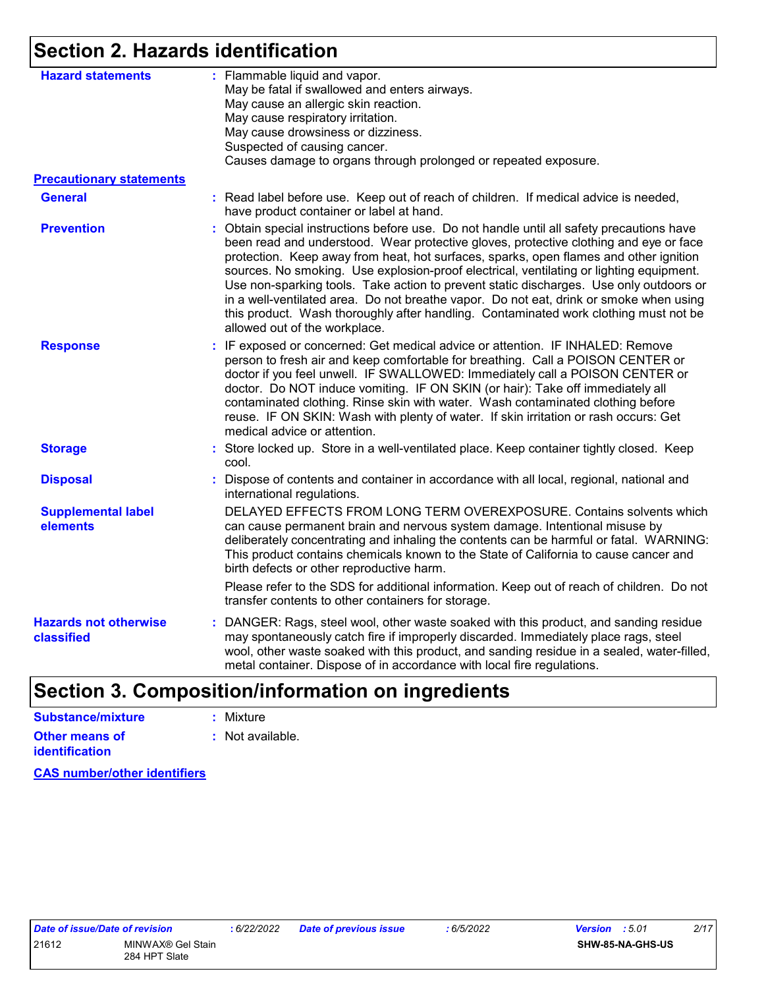# **Section 2. Hazards identification**

| <b>Hazard statements</b><br><b>Precautionary statements</b><br><b>General</b><br><b>Prevention</b><br><b>Response</b> | : Flammable liquid and vapor.<br>May be fatal if swallowed and enters airways.<br>May cause an allergic skin reaction.<br>May cause respiratory irritation.<br>May cause drowsiness or dizziness.<br>Suspected of causing cancer.<br>Causes damage to organs through prolonged or repeated exposure.<br>: Read label before use. Keep out of reach of children. If medical advice is needed,<br>have product container or label at hand.                                                                                                                                                                                                                                            |  |
|-----------------------------------------------------------------------------------------------------------------------|-------------------------------------------------------------------------------------------------------------------------------------------------------------------------------------------------------------------------------------------------------------------------------------------------------------------------------------------------------------------------------------------------------------------------------------------------------------------------------------------------------------------------------------------------------------------------------------------------------------------------------------------------------------------------------------|--|
|                                                                                                                       |                                                                                                                                                                                                                                                                                                                                                                                                                                                                                                                                                                                                                                                                                     |  |
|                                                                                                                       |                                                                                                                                                                                                                                                                                                                                                                                                                                                                                                                                                                                                                                                                                     |  |
|                                                                                                                       |                                                                                                                                                                                                                                                                                                                                                                                                                                                                                                                                                                                                                                                                                     |  |
|                                                                                                                       | : Obtain special instructions before use. Do not handle until all safety precautions have<br>been read and understood. Wear protective gloves, protective clothing and eye or face<br>protection. Keep away from heat, hot surfaces, sparks, open flames and other ignition<br>sources. No smoking. Use explosion-proof electrical, ventilating or lighting equipment.<br>Use non-sparking tools. Take action to prevent static discharges. Use only outdoors or<br>in a well-ventilated area. Do not breathe vapor. Do not eat, drink or smoke when using<br>this product. Wash thoroughly after handling. Contaminated work clothing must not be<br>allowed out of the workplace. |  |
|                                                                                                                       | : IF exposed or concerned: Get medical advice or attention. IF INHALED: Remove<br>person to fresh air and keep comfortable for breathing. Call a POISON CENTER or<br>doctor if you feel unwell. IF SWALLOWED: Immediately call a POISON CENTER or<br>doctor. Do NOT induce vomiting. IF ON SKIN (or hair): Take off immediately all<br>contaminated clothing. Rinse skin with water. Wash contaminated clothing before<br>reuse. IF ON SKIN: Wash with plenty of water. If skin irritation or rash occurs: Get<br>medical advice or attention.                                                                                                                                      |  |
| <b>Storage</b>                                                                                                        | : Store locked up. Store in a well-ventilated place. Keep container tightly closed. Keep<br>cool.                                                                                                                                                                                                                                                                                                                                                                                                                                                                                                                                                                                   |  |
| <b>Disposal</b>                                                                                                       | : Dispose of contents and container in accordance with all local, regional, national and<br>international regulations.                                                                                                                                                                                                                                                                                                                                                                                                                                                                                                                                                              |  |
| <b>Supplemental label</b><br>elements                                                                                 | DELAYED EFFECTS FROM LONG TERM OVEREXPOSURE. Contains solvents which<br>can cause permanent brain and nervous system damage. Intentional misuse by<br>deliberately concentrating and inhaling the contents can be harmful or fatal. WARNING:<br>This product contains chemicals known to the State of California to cause cancer and<br>birth defects or other reproductive harm.<br>Please refer to the SDS for additional information. Keep out of reach of children. Do not                                                                                                                                                                                                      |  |
|                                                                                                                       | transfer contents to other containers for storage.                                                                                                                                                                                                                                                                                                                                                                                                                                                                                                                                                                                                                                  |  |
| <b>Hazards not otherwise</b><br>classified                                                                            | : DANGER: Rags, steel wool, other waste soaked with this product, and sanding residue<br>may spontaneously catch fire if improperly discarded. Immediately place rags, steel<br>wool, other waste soaked with this product, and sanding residue in a sealed, water-filled,<br>metal container. Dispose of in accordance with local fire regulations.                                                                                                                                                                                                                                                                                                                                |  |

# **Section 3. Composition/information on ingredients**

| Substance/mixture                       | : Mixture        |
|-----------------------------------------|------------------|
| Other means of<br><b>identification</b> | : Not available. |

**CAS number/other identifiers**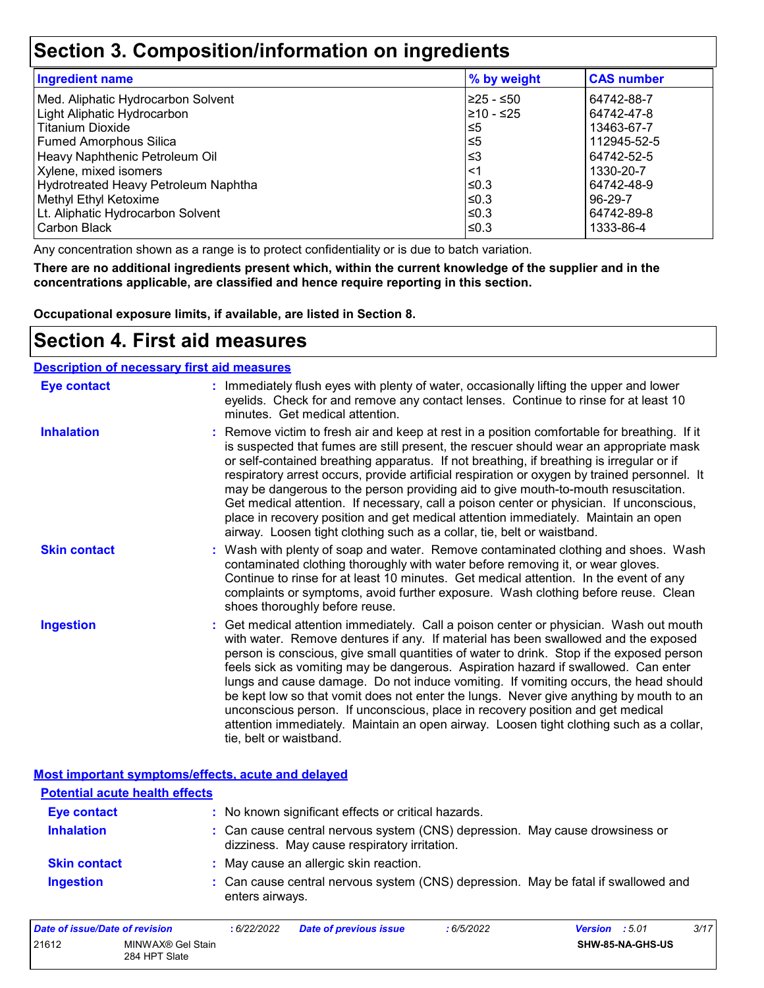### **Section 3. Composition/information on ingredients**

| <b>Ingredient name</b>               | % by weight | <b>CAS number</b> |
|--------------------------------------|-------------|-------------------|
| Med. Aliphatic Hydrocarbon Solvent   | l≥25 - ≤50  | 64742-88-7        |
| Light Aliphatic Hydrocarbon          | 210 - ≤25   | 64742-47-8        |
| <b>Titanium Dioxide</b>              | ≤5          | 13463-67-7        |
| <b>Fumed Amorphous Silica</b>        | 5≤ا         | 112945-52-5       |
| Heavy Naphthenic Petroleum Oil       | ≤3          | 64742-52-5        |
| Xylene, mixed isomers                | <1          | 1330-20-7         |
| Hydrotreated Heavy Petroleum Naphtha | l≤0.3       | 64742-48-9        |
| Methyl Ethyl Ketoxime                | l≤0.3       | 96-29-7           |
| Lt. Aliphatic Hydrocarbon Solvent    | ≤0.3        | 64742-89-8        |
| Carbon Black                         | ≤0.3        | 1333-86-4         |

Any concentration shown as a range is to protect confidentiality or is due to batch variation.

**There are no additional ingredients present which, within the current knowledge of the supplier and in the concentrations applicable, are classified and hence require reporting in this section.**

**Occupational exposure limits, if available, are listed in Section 8.**

### **Section 4. First aid measures**

| <b>Description of necessary first aid measures</b> |                                                                                                                                                                                                                                                                                                                                                                                                                                                                                                                                                                                                                                                                                                                                                         |
|----------------------------------------------------|---------------------------------------------------------------------------------------------------------------------------------------------------------------------------------------------------------------------------------------------------------------------------------------------------------------------------------------------------------------------------------------------------------------------------------------------------------------------------------------------------------------------------------------------------------------------------------------------------------------------------------------------------------------------------------------------------------------------------------------------------------|
| <b>Eye contact</b>                                 | : Immediately flush eyes with plenty of water, occasionally lifting the upper and lower<br>eyelids. Check for and remove any contact lenses. Continue to rinse for at least 10<br>minutes. Get medical attention.                                                                                                                                                                                                                                                                                                                                                                                                                                                                                                                                       |
| <b>Inhalation</b>                                  | : Remove victim to fresh air and keep at rest in a position comfortable for breathing. If it<br>is suspected that fumes are still present, the rescuer should wear an appropriate mask<br>or self-contained breathing apparatus. If not breathing, if breathing is irregular or if<br>respiratory arrest occurs, provide artificial respiration or oxygen by trained personnel. It<br>may be dangerous to the person providing aid to give mouth-to-mouth resuscitation.<br>Get medical attention. If necessary, call a poison center or physician. If unconscious,<br>place in recovery position and get medical attention immediately. Maintain an open<br>airway. Loosen tight clothing such as a collar, tie, belt or waistband.                    |
| <b>Skin contact</b>                                | : Wash with plenty of soap and water. Remove contaminated clothing and shoes. Wash<br>contaminated clothing thoroughly with water before removing it, or wear gloves.<br>Continue to rinse for at least 10 minutes. Get medical attention. In the event of any<br>complaints or symptoms, avoid further exposure. Wash clothing before reuse. Clean<br>shoes thoroughly before reuse.                                                                                                                                                                                                                                                                                                                                                                   |
| <b>Ingestion</b>                                   | : Get medical attention immediately. Call a poison center or physician. Wash out mouth<br>with water. Remove dentures if any. If material has been swallowed and the exposed<br>person is conscious, give small quantities of water to drink. Stop if the exposed person<br>feels sick as vomiting may be dangerous. Aspiration hazard if swallowed. Can enter<br>lungs and cause damage. Do not induce vomiting. If vomiting occurs, the head should<br>be kept low so that vomit does not enter the lungs. Never give anything by mouth to an<br>unconscious person. If unconscious, place in recovery position and get medical<br>attention immediately. Maintain an open airway. Loosen tight clothing such as a collar,<br>tie, belt or waistband. |

#### **Most important symptoms/effects, acute and delayed**

| <b>Potential acute health effects</b> |                                                                                                                              |  |
|---------------------------------------|------------------------------------------------------------------------------------------------------------------------------|--|
| <b>Eye contact</b>                    | : No known significant effects or critical hazards.                                                                          |  |
| <b>Inhalation</b>                     | : Can cause central nervous system (CNS) depression. May cause drowsiness or<br>dizziness. May cause respiratory irritation. |  |
| <b>Skin contact</b>                   | : May cause an allergic skin reaction.                                                                                       |  |
| <b>Ingestion</b>                      | : Can cause central nervous system (CNS) depression. May be fatal if swallowed and<br>enters airways.                        |  |

| Date of issue/Date of revision |                                    | : 6/22/2022 | Date of previous issue | : 6/5/2022 | 3/17<br><b>Version</b> : 5.01 |
|--------------------------------|------------------------------------|-------------|------------------------|------------|-------------------------------|
| 21612                          | MINWAX® Gel Stain<br>284 HPT Slate |             |                        |            | <b>SHW-85-NA-GHS-US</b>       |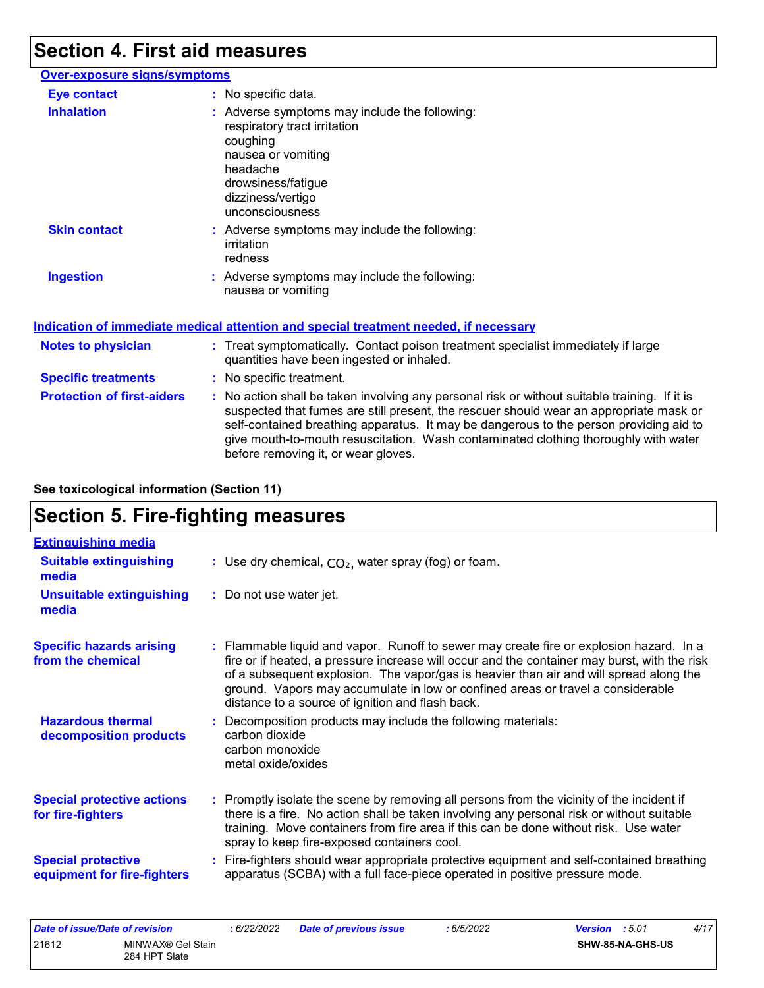## **Section 4. First aid measures**

| <b>Over-exposure signs/symptoms</b> |                                                                                                                                                                                           |
|-------------------------------------|-------------------------------------------------------------------------------------------------------------------------------------------------------------------------------------------|
| <b>Eye contact</b>                  | : No specific data.                                                                                                                                                                       |
| <b>Inhalation</b>                   | : Adverse symptoms may include the following:<br>respiratory tract irritation<br>coughing<br>nausea or vomiting<br>headache<br>drowsiness/fatigue<br>dizziness/vertigo<br>unconsciousness |
| <b>Skin contact</b>                 | : Adverse symptoms may include the following:<br>irritation<br>redness                                                                                                                    |
| <b>Ingestion</b>                    | : Adverse symptoms may include the following:<br>nausea or vomiting                                                                                                                       |

#### **Indication of immediate medical attention and special treatment needed, if necessary**

| <b>Notes to physician</b>         | : Treat symptomatically. Contact poison treatment specialist immediately if large<br>quantities have been ingested or inhaled.                                                                                                                                                                                                                                                                                  |  |
|-----------------------------------|-----------------------------------------------------------------------------------------------------------------------------------------------------------------------------------------------------------------------------------------------------------------------------------------------------------------------------------------------------------------------------------------------------------------|--|
| <b>Specific treatments</b>        | : No specific treatment.                                                                                                                                                                                                                                                                                                                                                                                        |  |
| <b>Protection of first-aiders</b> | : No action shall be taken involving any personal risk or without suitable training. If it is<br>suspected that fumes are still present, the rescuer should wear an appropriate mask or<br>self-contained breathing apparatus. It may be dangerous to the person providing aid to<br>give mouth-to-mouth resuscitation. Wash contaminated clothing thoroughly with water<br>before removing it, or wear gloves. |  |

**See toxicological information (Section 11)**

# **Section 5. Fire-fighting measures**

| <b>Extinguishing media</b>                               |                                                                                                                                                                                                                                                                                                                                                                                                                          |
|----------------------------------------------------------|--------------------------------------------------------------------------------------------------------------------------------------------------------------------------------------------------------------------------------------------------------------------------------------------------------------------------------------------------------------------------------------------------------------------------|
| <b>Suitable extinguishing</b><br>media                   | : Use dry chemical, $CO2$ , water spray (fog) or foam.                                                                                                                                                                                                                                                                                                                                                                   |
| <b>Unsuitable extinguishing</b><br>media                 | : Do not use water jet.                                                                                                                                                                                                                                                                                                                                                                                                  |
| <b>Specific hazards arising</b><br>from the chemical     | : Flammable liquid and vapor. Runoff to sewer may create fire or explosion hazard. In a<br>fire or if heated, a pressure increase will occur and the container may burst, with the risk<br>of a subsequent explosion. The vapor/gas is heavier than air and will spread along the<br>ground. Vapors may accumulate in low or confined areas or travel a considerable<br>distance to a source of ignition and flash back. |
| <b>Hazardous thermal</b><br>decomposition products       | Decomposition products may include the following materials:<br>carbon dioxide<br>carbon monoxide<br>metal oxide/oxides                                                                                                                                                                                                                                                                                                   |
| <b>Special protective actions</b><br>for fire-fighters   | : Promptly isolate the scene by removing all persons from the vicinity of the incident if<br>there is a fire. No action shall be taken involving any personal risk or without suitable<br>training. Move containers from fire area if this can be done without risk. Use water<br>spray to keep fire-exposed containers cool.                                                                                            |
| <b>Special protective</b><br>equipment for fire-fighters | : Fire-fighters should wear appropriate protective equipment and self-contained breathing<br>apparatus (SCBA) with a full face-piece operated in positive pressure mode.                                                                                                                                                                                                                                                 |

|       | Date of issue/Date of revision | 6/22/2022 | <b>Date of previous issue</b> | 6/5/2022 | <b>Version</b> : 5.01   | 4/17 |
|-------|--------------------------------|-----------|-------------------------------|----------|-------------------------|------|
| 21612 | MINWAX® Gel Stain              |           |                               |          | <b>SHW-85-NA-GHS-US</b> |      |
|       | 284 HPT Slate                  |           |                               |          |                         |      |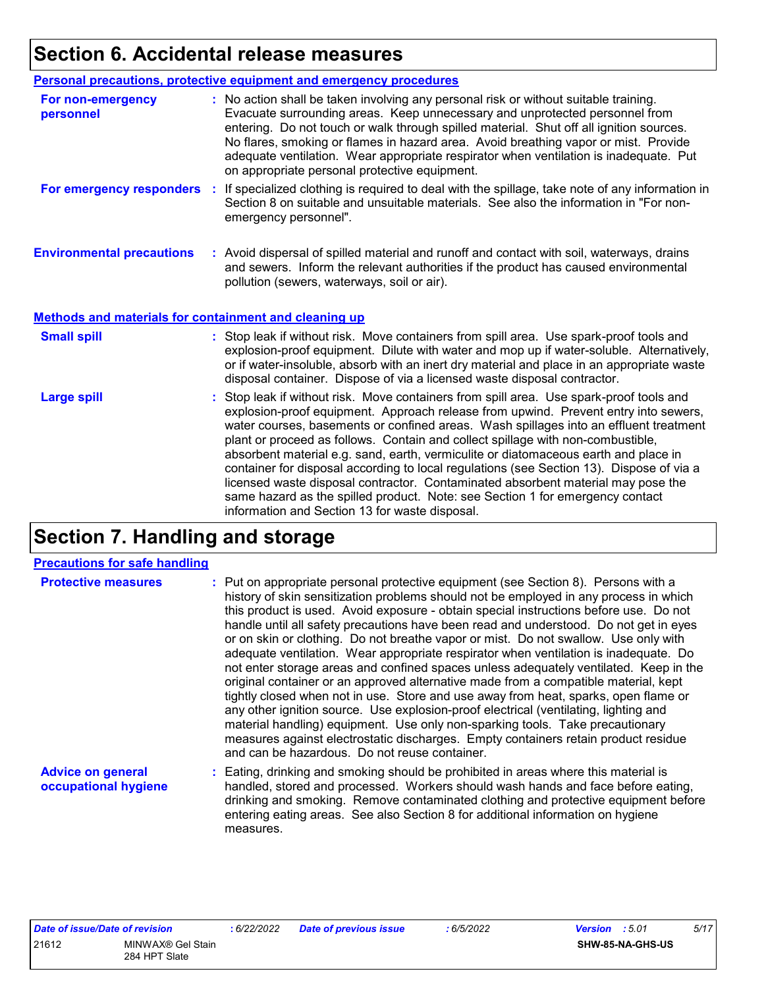# **Section 6. Accidental release measures**

|                                                       | Personal precautions, protective equipment and emergency procedures                                                                                                                                                                                                                                                                                                                                                                                                                                                                                                                                                                                                                                                                                                  |  |  |
|-------------------------------------------------------|----------------------------------------------------------------------------------------------------------------------------------------------------------------------------------------------------------------------------------------------------------------------------------------------------------------------------------------------------------------------------------------------------------------------------------------------------------------------------------------------------------------------------------------------------------------------------------------------------------------------------------------------------------------------------------------------------------------------------------------------------------------------|--|--|
| For non-emergency<br>personnel                        | : No action shall be taken involving any personal risk or without suitable training.<br>Evacuate surrounding areas. Keep unnecessary and unprotected personnel from<br>entering. Do not touch or walk through spilled material. Shut off all ignition sources.<br>No flares, smoking or flames in hazard area. Avoid breathing vapor or mist. Provide<br>adequate ventilation. Wear appropriate respirator when ventilation is inadequate. Put<br>on appropriate personal protective equipment.                                                                                                                                                                                                                                                                      |  |  |
| For emergency responders                              | : If specialized clothing is required to deal with the spillage, take note of any information in<br>Section 8 on suitable and unsuitable materials. See also the information in "For non-<br>emergency personnel".                                                                                                                                                                                                                                                                                                                                                                                                                                                                                                                                                   |  |  |
| <b>Environmental precautions</b>                      | : Avoid dispersal of spilled material and runoff and contact with soil, waterways, drains<br>and sewers. Inform the relevant authorities if the product has caused environmental<br>pollution (sewers, waterways, soil or air).                                                                                                                                                                                                                                                                                                                                                                                                                                                                                                                                      |  |  |
| Methods and materials for containment and cleaning up |                                                                                                                                                                                                                                                                                                                                                                                                                                                                                                                                                                                                                                                                                                                                                                      |  |  |
| <b>Small spill</b>                                    | : Stop leak if without risk. Move containers from spill area. Use spark-proof tools and<br>explosion-proof equipment. Dilute with water and mop up if water-soluble. Alternatively,<br>or if water-insoluble, absorb with an inert dry material and place in an appropriate waste<br>disposal container. Dispose of via a licensed waste disposal contractor.                                                                                                                                                                                                                                                                                                                                                                                                        |  |  |
| <b>Large spill</b>                                    | : Stop leak if without risk. Move containers from spill area. Use spark-proof tools and<br>explosion-proof equipment. Approach release from upwind. Prevent entry into sewers,<br>water courses, basements or confined areas. Wash spillages into an effluent treatment<br>plant or proceed as follows. Contain and collect spillage with non-combustible,<br>absorbent material e.g. sand, earth, vermiculite or diatomaceous earth and place in<br>container for disposal according to local regulations (see Section 13). Dispose of via a<br>licensed waste disposal contractor. Contaminated absorbent material may pose the<br>same hazard as the spilled product. Note: see Section 1 for emergency contact<br>information and Section 13 for waste disposal. |  |  |

# **Section 7. Handling and storage**

#### **Precautions for safe handling**

| <b>Protective measures</b>                       | : Put on appropriate personal protective equipment (see Section 8). Persons with a<br>history of skin sensitization problems should not be employed in any process in which<br>this product is used. Avoid exposure - obtain special instructions before use. Do not<br>handle until all safety precautions have been read and understood. Do not get in eyes<br>or on skin or clothing. Do not breathe vapor or mist. Do not swallow. Use only with<br>adequate ventilation. Wear appropriate respirator when ventilation is inadequate. Do<br>not enter storage areas and confined spaces unless adequately ventilated. Keep in the<br>original container or an approved alternative made from a compatible material, kept<br>tightly closed when not in use. Store and use away from heat, sparks, open flame or<br>any other ignition source. Use explosion-proof electrical (ventilating, lighting and<br>material handling) equipment. Use only non-sparking tools. Take precautionary<br>measures against electrostatic discharges. Empty containers retain product residue<br>and can be hazardous. Do not reuse container. |
|--------------------------------------------------|-------------------------------------------------------------------------------------------------------------------------------------------------------------------------------------------------------------------------------------------------------------------------------------------------------------------------------------------------------------------------------------------------------------------------------------------------------------------------------------------------------------------------------------------------------------------------------------------------------------------------------------------------------------------------------------------------------------------------------------------------------------------------------------------------------------------------------------------------------------------------------------------------------------------------------------------------------------------------------------------------------------------------------------------------------------------------------------------------------------------------------------|
| <b>Advice on general</b><br>occupational hygiene | : Eating, drinking and smoking should be prohibited in areas where this material is<br>handled, stored and processed. Workers should wash hands and face before eating,<br>drinking and smoking. Remove contaminated clothing and protective equipment before<br>entering eating areas. See also Section 8 for additional information on hygiene                                                                                                                                                                                                                                                                                                                                                                                                                                                                                                                                                                                                                                                                                                                                                                                    |

| <u>Date of issue/Date of revision</u> |                   | :6/22 |
|---------------------------------------|-------------------|-------|
| 21612                                 | MINWAX® Gel Stain |       |
|                                       | 284 HPT Slate     |       |

measures.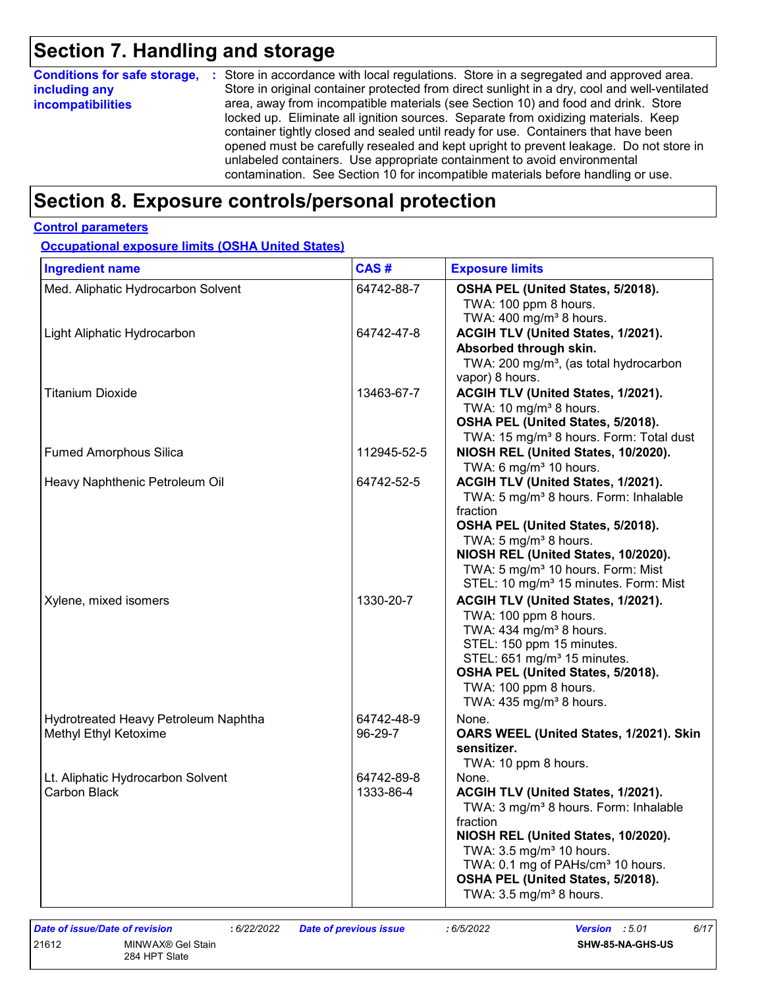# **Section 7. Handling and storage**

| <b>Conditions for safe storage,</b> | : Store in accordance with local regulations. Store in a segregated and approved area.        |
|-------------------------------------|-----------------------------------------------------------------------------------------------|
| including any                       | Store in original container protected from direct sunlight in a dry, cool and well-ventilated |
| <b>incompatibilities</b>            | area, away from incompatible materials (see Section 10) and food and drink. Store             |
|                                     | locked up. Eliminate all ignition sources. Separate from oxidizing materials. Keep            |
|                                     | container tightly closed and sealed until ready for use. Containers that have been            |
|                                     | opened must be carefully resealed and kept upright to prevent leakage. Do not store in        |
|                                     | unlabeled containers. Use appropriate containment to avoid environmental                      |
|                                     | contamination. See Section 10 for incompatible materials before handling or use.              |

## **Section 8. Exposure controls/personal protection**

#### **Control parameters**

**Occupational exposure limits (OSHA United States)**

| <b>Ingredient name</b>                                        | CAS#                    | <b>Exposure limits</b>                                                                                                                                                                                                                                                                                                     |
|---------------------------------------------------------------|-------------------------|----------------------------------------------------------------------------------------------------------------------------------------------------------------------------------------------------------------------------------------------------------------------------------------------------------------------------|
| Med. Aliphatic Hydrocarbon Solvent                            | 64742-88-7              | OSHA PEL (United States, 5/2018).<br>TWA: 100 ppm 8 hours.<br>TWA: 400 mg/m <sup>3</sup> 8 hours.                                                                                                                                                                                                                          |
| Light Aliphatic Hydrocarbon                                   | 64742-47-8              | ACGIH TLV (United States, 1/2021).<br>Absorbed through skin.<br>TWA: 200 mg/m <sup>3</sup> , (as total hydrocarbon<br>vapor) 8 hours.                                                                                                                                                                                      |
| <b>Titanium Dioxide</b>                                       | 13463-67-7              | ACGIH TLV (United States, 1/2021).<br>TWA: 10 mg/m <sup>3</sup> 8 hours.<br>OSHA PEL (United States, 5/2018).<br>TWA: 15 mg/m <sup>3</sup> 8 hours. Form: Total dust                                                                                                                                                       |
| <b>Fumed Amorphous Silica</b>                                 | 112945-52-5             | NIOSH REL (United States, 10/2020).<br>TWA: 6 mg/m $3$ 10 hours.                                                                                                                                                                                                                                                           |
| Heavy Naphthenic Petroleum Oil                                | 64742-52-5              | ACGIH TLV (United States, 1/2021).<br>TWA: 5 mg/m <sup>3</sup> 8 hours. Form: Inhalable<br>fraction<br>OSHA PEL (United States, 5/2018).<br>TWA: 5 mg/m <sup>3</sup> 8 hours.<br>NIOSH REL (United States, 10/2020).<br>TWA: 5 mg/m <sup>3</sup> 10 hours. Form: Mist<br>STEL: 10 mg/m <sup>3</sup> 15 minutes. Form: Mist |
| Xylene, mixed isomers                                         | 1330-20-7               | ACGIH TLV (United States, 1/2021).<br>TWA: 100 ppm 8 hours.<br>TWA: $434$ mg/m <sup>3</sup> 8 hours.<br>STEL: 150 ppm 15 minutes.<br>STEL: 651 mg/m <sup>3</sup> 15 minutes.<br>OSHA PEL (United States, 5/2018).<br>TWA: 100 ppm 8 hours.<br>TWA: 435 mg/m <sup>3</sup> 8 hours.                                          |
| Hydrotreated Heavy Petroleum Naphtha<br>Methyl Ethyl Ketoxime | 64742-48-9<br>96-29-7   | None.<br>OARS WEEL (United States, 1/2021). Skin<br>sensitizer.<br>TWA: 10 ppm 8 hours.                                                                                                                                                                                                                                    |
| Lt. Aliphatic Hydrocarbon Solvent<br><b>Carbon Black</b>      | 64742-89-8<br>1333-86-4 | None.<br>ACGIH TLV (United States, 1/2021).<br>TWA: 3 mg/m <sup>3</sup> 8 hours. Form: Inhalable<br>fraction<br>NIOSH REL (United States, 10/2020).<br>TWA: 3.5 mg/m <sup>3</sup> 10 hours.<br>TWA: 0.1 mg of PAHs/cm <sup>3</sup> 10 hours.<br>OSHA PEL (United States, 5/2018).<br>TWA: $3.5 \text{ mg/m}^3$ 8 hours.    |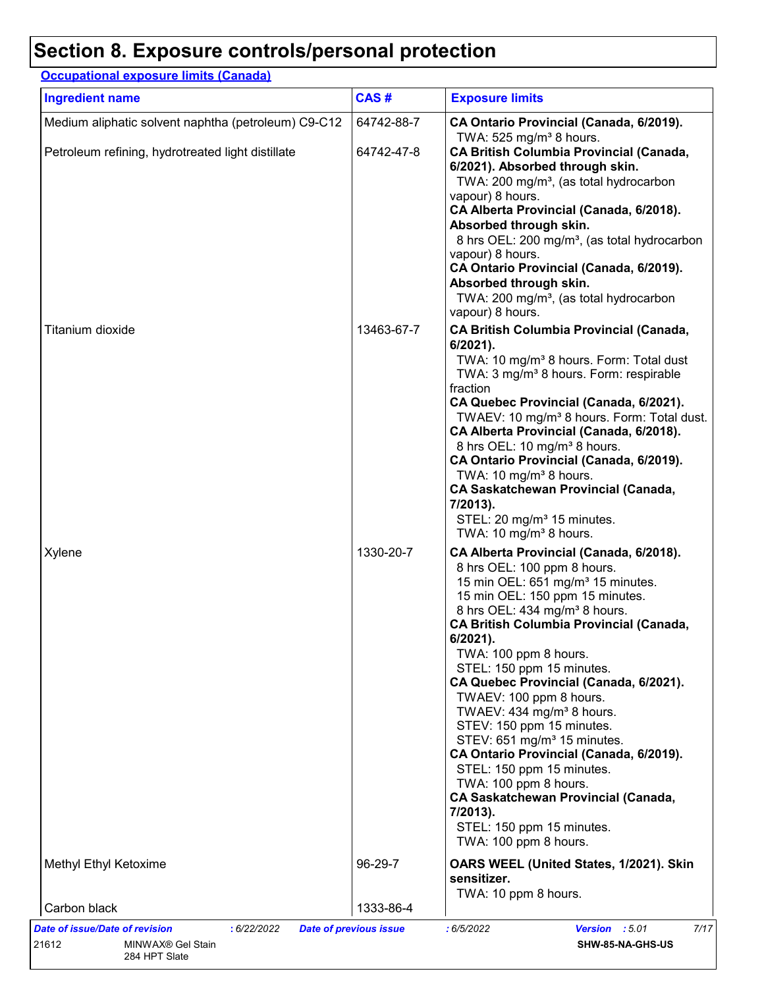### **Section 8. Exposure controls/personal protection**

#### Medium aliphatic solvent naphtha (petroleum) C9-C12 | 64742-88-7 **CA Ontario Provincial (Canada, 6/2019).** TWA:  $525$  mg/m<sup>3</sup> 8 hours. Petroleum refining, hydrotreated light distillate 64742-47-8 **CA British Columbia Provincial (Canada, 6/2021). Absorbed through skin.** TWA: 200 mg/m<sup>3</sup>, (as total hydrocarbon vapour) 8 hours. **CA Alberta Provincial (Canada, 6/2018). Absorbed through skin.** 8 hrs OEL: 200 mg/m<sup>3</sup>, (as total hydrocarbon vapour) 8 hours. **CA Ontario Provincial (Canada, 6/2019). Absorbed through skin.** TWA: 200 mg/m<sup>3</sup>, (as total hydrocarbon vapour) 8 hours. Titanium dioxide 13463-67-7 **CA British Columbia Provincial (Canada, 6/2021).** TWA: 10 mg/m<sup>3</sup> 8 hours. Form: Total dust TWA: 3 mg/m<sup>3</sup> 8 hours. Form: respirable fraction **CA Quebec Provincial (Canada, 6/2021).** TWAEV: 10 mg/m<sup>3</sup> 8 hours. Form: Total dust. **CA Alberta Provincial (Canada, 6/2018).** 8 hrs OEL: 10 mg/m<sup>3</sup> 8 hours. **CA Ontario Provincial (Canada, 6/2019).** TWA:  $10 \text{ mg/m}^3$  8 hours. **CA Saskatchewan Provincial (Canada, 7/2013).** STEL: 20 mg/m<sup>3</sup> 15 minutes. TWA:  $10 \text{ mg/m}^3$  8 hours. Xylene 1330-20-7 **CA Alberta Provincial (Canada, 6/2018).** 8 hrs OEL: 100 ppm 8 hours. 15 min OEL:  $651 \text{ mg/m}^3$  15 minutes. 15 min OEL: 150 ppm 15 minutes. 8 hrs OEL: 434 mg/m<sup>3</sup> 8 hours. **CA British Columbia Provincial (Canada, 6/2021).** TWA: 100 ppm 8 hours. STEL: 150 ppm 15 minutes. **CA Quebec Provincial (Canada, 6/2021).** TWAEV: 100 ppm 8 hours. TWAEV: 434 mg/m $3$  8 hours. STEV: 150 ppm 15 minutes. STEV: 651 mg/m<sup>3</sup> 15 minutes. **CA Ontario Provincial (Canada, 6/2019).** STEL: 150 ppm 15 minutes. TWA: 100 ppm 8 hours. **CA Saskatchewan Provincial (Canada, 7/2013).** STEL: 150 ppm 15 minutes. TWA: 100 ppm 8 hours. Methyl Ethyl Ketoxime 96-29-7 **OARS WEEL (United States, 1/2021). Skin sensitizer.** TWA: 10 ppm 8 hours. Carbon black 1333-86-4 **Ingredient name Exposure limits Exposure limits Occupational exposure limits (Canada) CAS #** *Date of issue/Date of revision* **:** *6/22/2022 Date of previous issue : 6/5/2022 Version : 5.01 7/17* 21612 MINWAX® Gel Stain 284 HPT Slate **SHW-85-NA-GHS-US**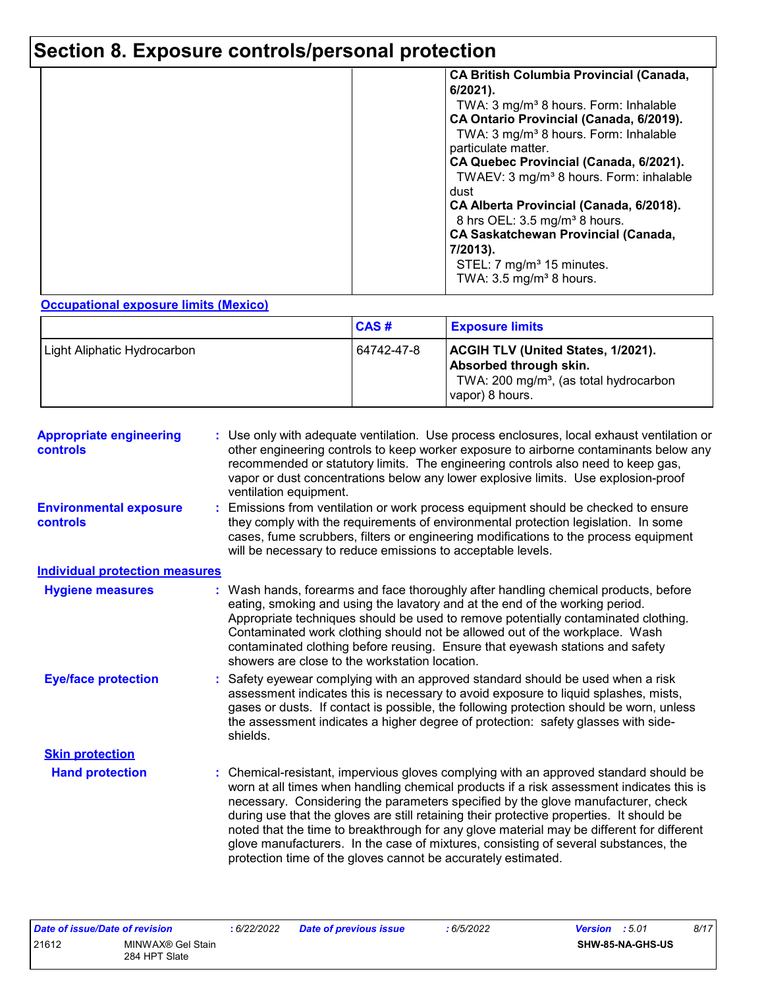# **Section 8. Exposure controls/personal protection**

|  | <b>CA British Columbia Provincial (Canada,</b><br>$6/2021$ ).<br>TWA: 3 mg/m <sup>3</sup> 8 hours. Form: Inhalable<br>CA Ontario Provincial (Canada, 6/2019).<br>TWA: 3 mg/m <sup>3</sup> 8 hours. Form: Inhalable<br>particulate matter.<br>CA Quebec Provincial (Canada, 6/2021).<br>TWAEV: 3 mg/m <sup>3</sup> 8 hours. Form: inhalable<br>dust<br>CA Alberta Provincial (Canada, 6/2018).<br>8 hrs OEL: 3.5 mg/m <sup>3</sup> 8 hours.<br><b>CA Saskatchewan Provincial (Canada,</b><br>7/2013).<br>STEL: 7 mg/m <sup>3</sup> 15 minutes.<br>TWA: $3.5 \text{ mg/m}^3$ 8 hours. |
|--|-------------------------------------------------------------------------------------------------------------------------------------------------------------------------------------------------------------------------------------------------------------------------------------------------------------------------------------------------------------------------------------------------------------------------------------------------------------------------------------------------------------------------------------------------------------------------------------|
|--|-------------------------------------------------------------------------------------------------------------------------------------------------------------------------------------------------------------------------------------------------------------------------------------------------------------------------------------------------------------------------------------------------------------------------------------------------------------------------------------------------------------------------------------------------------------------------------------|

#### **Occupational exposure limits (Mexico)**

|                             | <b>CAS#</b> | <b>Exposure limits</b>                                                                                                                       |
|-----------------------------|-------------|----------------------------------------------------------------------------------------------------------------------------------------------|
| Light Aliphatic Hydrocarbon | 64742-47-8  | <b>ACGIH TLV (United States, 1/2021).</b><br>Absorbed through skin.<br>TWA: 200 mg/m <sup>3</sup> , (as total hydrocarbon<br>vapor) 8 hours. |

| <b>Appropriate engineering</b><br><b>controls</b> |  | : Use only with adequate ventilation. Use process enclosures, local exhaust ventilation or<br>other engineering controls to keep worker exposure to airborne contaminants below any<br>recommended or statutory limits. The engineering controls also need to keep gas,<br>vapor or dust concentrations below any lower explosive limits. Use explosion-proof<br>ventilation equipment.                                                                                                                                                                                                                                |
|---------------------------------------------------|--|------------------------------------------------------------------------------------------------------------------------------------------------------------------------------------------------------------------------------------------------------------------------------------------------------------------------------------------------------------------------------------------------------------------------------------------------------------------------------------------------------------------------------------------------------------------------------------------------------------------------|
| <b>Environmental exposure</b><br>controls         |  | Emissions from ventilation or work process equipment should be checked to ensure<br>they comply with the requirements of environmental protection legislation. In some<br>cases, fume scrubbers, filters or engineering modifications to the process equipment<br>will be necessary to reduce emissions to acceptable levels.                                                                                                                                                                                                                                                                                          |
| <b>Individual protection measures</b>             |  |                                                                                                                                                                                                                                                                                                                                                                                                                                                                                                                                                                                                                        |
| <b>Hygiene measures</b>                           |  | : Wash hands, forearms and face thoroughly after handling chemical products, before<br>eating, smoking and using the lavatory and at the end of the working period.<br>Appropriate techniques should be used to remove potentially contaminated clothing.<br>Contaminated work clothing should not be allowed out of the workplace. Wash<br>contaminated clothing before reusing. Ensure that eyewash stations and safety<br>showers are close to the workstation location.                                                                                                                                            |
| <b>Eye/face protection</b>                        |  | Safety eyewear complying with an approved standard should be used when a risk<br>assessment indicates this is necessary to avoid exposure to liquid splashes, mists,<br>gases or dusts. If contact is possible, the following protection should be worn, unless<br>the assessment indicates a higher degree of protection: safety glasses with side-<br>shields.                                                                                                                                                                                                                                                       |
| <b>Skin protection</b>                            |  |                                                                                                                                                                                                                                                                                                                                                                                                                                                                                                                                                                                                                        |
| <b>Hand protection</b>                            |  | : Chemical-resistant, impervious gloves complying with an approved standard should be<br>worn at all times when handling chemical products if a risk assessment indicates this is<br>necessary. Considering the parameters specified by the glove manufacturer, check<br>during use that the gloves are still retaining their protective properties. It should be<br>noted that the time to breakthrough for any glove material may be different for different<br>glove manufacturers. In the case of mixtures, consisting of several substances, the<br>protection time of the gloves cannot be accurately estimated. |

| <b>Date of issue/Date of revision</b> |                                    | 6/22/2022 | <b>Date of previous issue</b> | 6/5/2022 | <b>Version</b> : 5.01 | 8/17 |
|---------------------------------------|------------------------------------|-----------|-------------------------------|----------|-----------------------|------|
| 21612                                 | MINWAX® Gel Stain<br>284 HPT Slate |           |                               |          | SHW-85-NA-GHS-US      |      |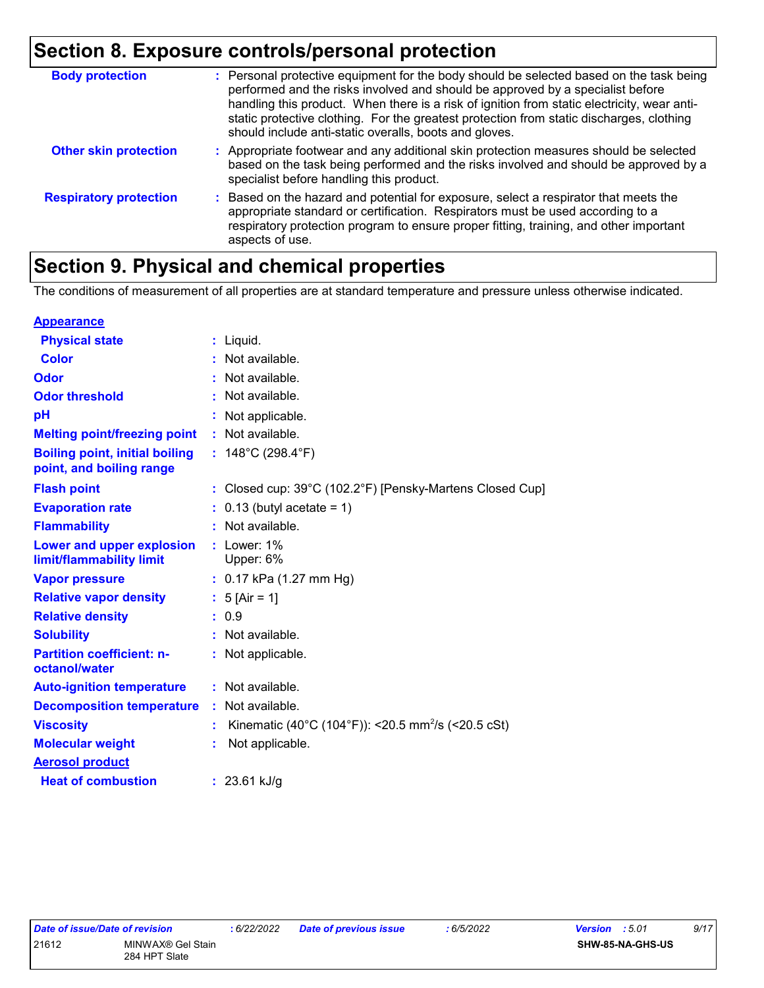## **Section 8. Exposure controls/personal protection**

| <b>Body protection</b>        | : Personal protective equipment for the body should be selected based on the task being<br>performed and the risks involved and should be approved by a specialist before<br>handling this product. When there is a risk of ignition from static electricity, wear anti-<br>static protective clothing. For the greatest protection from static discharges, clothing<br>should include anti-static overalls, boots and gloves. |
|-------------------------------|--------------------------------------------------------------------------------------------------------------------------------------------------------------------------------------------------------------------------------------------------------------------------------------------------------------------------------------------------------------------------------------------------------------------------------|
| <b>Other skin protection</b>  | : Appropriate footwear and any additional skin protection measures should be selected<br>based on the task being performed and the risks involved and should be approved by a<br>specialist before handling this product.                                                                                                                                                                                                      |
| <b>Respiratory protection</b> | : Based on the hazard and potential for exposure, select a respirator that meets the<br>appropriate standard or certification. Respirators must be used according to a<br>respiratory protection program to ensure proper fitting, training, and other important<br>aspects of use.                                                                                                                                            |

# **Section 9. Physical and chemical properties**

The conditions of measurement of all properties are at standard temperature and pressure unless otherwise indicated.

| <b>Appearance</b>                                                 |                                                                |
|-------------------------------------------------------------------|----------------------------------------------------------------|
| <b>Physical state</b>                                             | $:$ Liquid.                                                    |
| <b>Color</b>                                                      | Not available.                                                 |
| <b>Odor</b>                                                       | : Not available.                                               |
| <b>Odor threshold</b>                                             | Not available.                                                 |
| рH                                                                | Not applicable.                                                |
| <b>Melting point/freezing point</b>                               | : Not available.                                               |
| <b>Boiling point, initial boiling</b><br>point, and boiling range | : $148^{\circ}$ C (298.4 $^{\circ}$ F)                         |
| <b>Flash point</b>                                                | : Closed cup: 39°C (102.2°F) [Pensky-Martens Closed Cup]       |
| <b>Evaporation rate</b>                                           | $0.13$ (butyl acetate = 1)                                     |
| <b>Flammability</b>                                               | Not available.                                                 |
| Lower and upper explosion<br>limit/flammability limit             | $:$ Lower: 1%<br>Upper: 6%                                     |
| <b>Vapor pressure</b>                                             | : $0.17$ kPa (1.27 mm Hg)                                      |
| <b>Relative vapor density</b>                                     | : $5$ [Air = 1]                                                |
| <b>Relative density</b>                                           | : 0.9                                                          |
| <b>Solubility</b>                                                 | : Not available.                                               |
| <b>Partition coefficient: n-</b><br>octanol/water                 | : Not applicable.                                              |
| <b>Auto-ignition temperature</b>                                  | : Not available.                                               |
| <b>Decomposition temperature</b>                                  | : Not available.                                               |
| <b>Viscosity</b>                                                  | Kinematic (40°C (104°F)): <20.5 mm <sup>2</sup> /s (<20.5 cSt) |
| <b>Molecular weight</b>                                           | Not applicable.                                                |
| <b>Aerosol product</b>                                            |                                                                |
| <b>Heat of combustion</b>                                         | : $23.61$ kJ/g                                                 |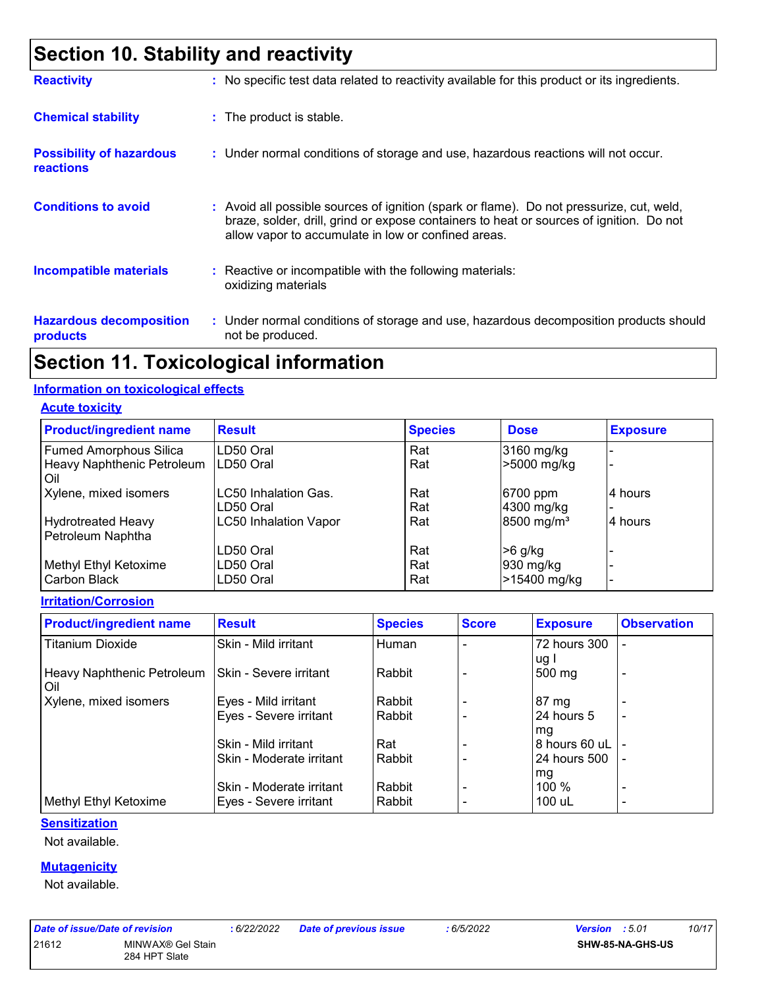# **Section 10. Stability and reactivity**

| <b>Reactivity</b>                                   | : No specific test data related to reactivity available for this product or its ingredients.                                                                                                                                               |
|-----------------------------------------------------|--------------------------------------------------------------------------------------------------------------------------------------------------------------------------------------------------------------------------------------------|
| <b>Chemical stability</b>                           | : The product is stable.                                                                                                                                                                                                                   |
| <b>Possibility of hazardous</b><br><b>reactions</b> | : Under normal conditions of storage and use, hazardous reactions will not occur.                                                                                                                                                          |
| <b>Conditions to avoid</b>                          | : Avoid all possible sources of ignition (spark or flame). Do not pressurize, cut, weld,<br>braze, solder, drill, grind or expose containers to heat or sources of ignition. Do not<br>allow vapor to accumulate in low or confined areas. |
| <b>Incompatible materials</b>                       | $\therefore$ Reactive or incompatible with the following materials:<br>oxidizing materials                                                                                                                                                 |
| <b>Hazardous decomposition</b><br>products          | : Under normal conditions of storage and use, hazardous decomposition products should<br>not be produced.                                                                                                                                  |

### **Section 11. Toxicological information**

#### **Information on toxicological effects**

**Acute toxicity**

| <b>Product/ingredient name</b> | <b>Result</b>                | <b>Species</b> | <b>Dose</b>            | <b>Exposure</b> |
|--------------------------------|------------------------------|----------------|------------------------|-----------------|
| <b>Fumed Amorphous Silica</b>  | ILD50 Oral                   | Rat            | 3160 mg/kg             |                 |
| Heavy Naphthenic Petroleum     | LD50 Oral                    | Rat            | >5000 mg/kg            |                 |
| Oil                            |                              |                |                        |                 |
| Xylene, mixed isomers          | LC50 Inhalation Gas.         | Rat            | 6700 ppm               | 4 hours         |
|                                | LD50 Oral                    | Rat            | 4300 mg/kg             |                 |
| <b>Hydrotreated Heavy</b>      | <b>LC50 Inhalation Vapor</b> | Rat            | 8500 mg/m <sup>3</sup> | 4 hours         |
| Petroleum Naphtha              |                              |                |                        |                 |
|                                | LD50 Oral                    | Rat            | $>6$ g/kg              |                 |
| Methyl Ethyl Ketoxime          | LD50 Oral                    | Rat            | 930 mg/kg              |                 |
| Carbon Black                   | LD50 Oral                    | Rat            | >15400 mg/kg           |                 |

**Irritation/Corrosion**

| <b>Product/ingredient name</b>      | <b>Result</b>            | <b>Species</b> | <b>Score</b> | <b>Exposure</b>      | <b>Observation</b>       |
|-------------------------------------|--------------------------|----------------|--------------|----------------------|--------------------------|
| <b>Titanium Dioxide</b>             | ISkin - Mild irritant    | Human          |              | 72 hours 300<br>ug l |                          |
| Heavy Naphthenic Petroleum<br>l Oil | ISkin - Severe irritant  | Rabbit         |              | 500 mg               | $\overline{\phantom{0}}$ |
| Xylene, mixed isomers               | Eyes - Mild irritant     | Rabbit         |              | 87 mg                |                          |
|                                     | Eyes - Severe irritant   | Rabbit         |              | 24 hours 5           | $\blacksquare$           |
|                                     |                          |                |              | mg                   |                          |
|                                     | Skin - Mild irritant     | Rat            |              | 8 hours 60 uL        |                          |
|                                     | Skin - Moderate irritant | Rabbit         |              | 24 hours 500         |                          |
|                                     |                          |                |              | mg                   |                          |
|                                     | Skin - Moderate irritant | Rabbit         |              | 100%                 | $\overline{\phantom{0}}$ |
| Methyl Ethyl Ketoxime               | Eyes - Severe irritant   | Rabbit         |              | 100 uL               | $\overline{\phantom{0}}$ |

#### **Sensitization**

Not available.

#### **Mutagenicity**

Not available.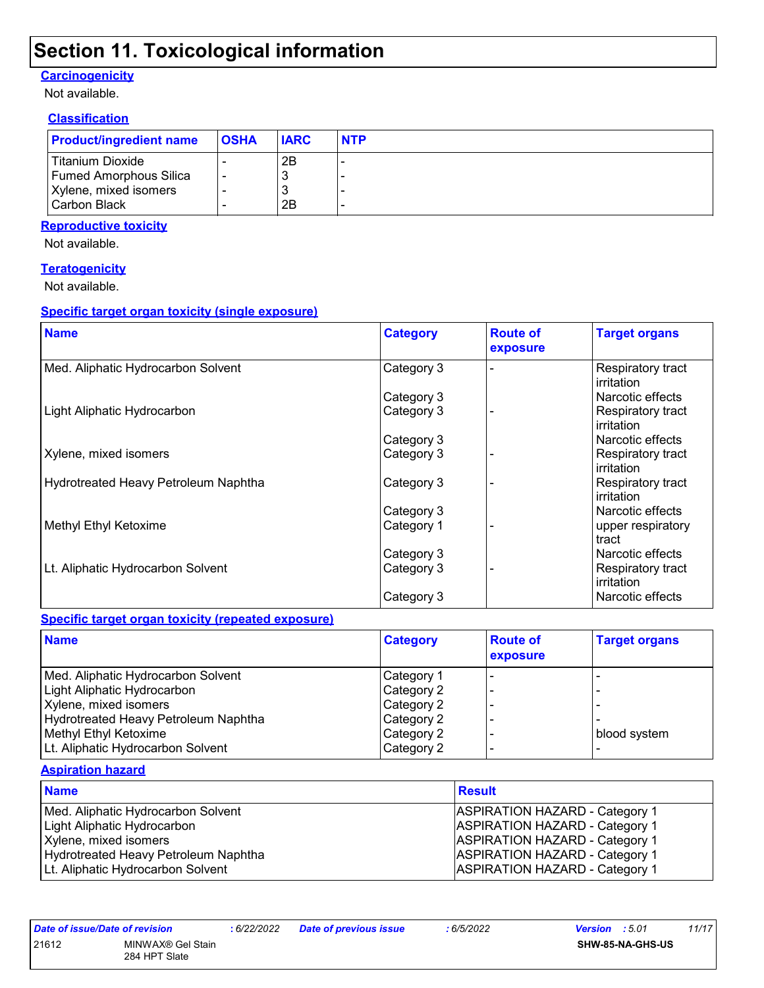### **Section 11. Toxicological information**

#### **Carcinogenicity**

Not available.

#### **Classification**

| <b>Product/ingredient name</b> | <b>OSHA</b> | <b>IARC</b> | <b>NTP</b> |
|--------------------------------|-------------|-------------|------------|
| l Titanium Dioxide             |             | 2B          |            |
| <b>Fumed Amorphous Silica</b>  |             |             |            |
| Xylene, mixed isomers          |             |             |            |
| Carbon Black                   |             | 2B          |            |

#### **Reproductive toxicity**

Not available.

#### **Teratogenicity**

Not available.

#### **Specific target organ toxicity (single exposure)**

| <b>Name</b>                          | <b>Category</b> | <b>Route of</b><br>exposure | <b>Target organs</b>                          |
|--------------------------------------|-----------------|-----------------------------|-----------------------------------------------|
| Med. Aliphatic Hydrocarbon Solvent   | Category 3      |                             | Respiratory tract<br><b>irritation</b>        |
|                                      | Category 3      |                             | Narcotic effects                              |
| Light Aliphatic Hydrocarbon          | Category 3      |                             | Respiratory tract<br><b>irritation</b>        |
|                                      | Category 3      |                             | Narcotic effects                              |
| Xylene, mixed isomers                | Category 3      |                             | Respiratory tract<br><b>irritation</b>        |
| Hydrotreated Heavy Petroleum Naphtha | Category 3      |                             | <b>Respiratory tract</b><br><b>irritation</b> |
|                                      | Category 3      |                             | Narcotic effects                              |
| Methyl Ethyl Ketoxime                | Category 1      |                             | upper respiratory<br>tract                    |
|                                      | Category 3      |                             | Narcotic effects                              |
| Lt. Aliphatic Hydrocarbon Solvent    | Category 3      |                             | Respiratory tract<br>irritation               |
|                                      | Category 3      |                             | Narcotic effects                              |

#### **Specific target organ toxicity (repeated exposure)**

| <b>Name</b>                          | <b>Category</b> | <b>Route of</b><br>exposure | <b>Target organs</b> |
|--------------------------------------|-----------------|-----------------------------|----------------------|
| Med. Aliphatic Hydrocarbon Solvent   | Category 1      |                             |                      |
| Light Aliphatic Hydrocarbon          | Category 2      |                             |                      |
| Xylene, mixed isomers                | Category 2      |                             |                      |
| Hydrotreated Heavy Petroleum Naphtha | Category 2      |                             |                      |
| Methyl Ethyl Ketoxime                | Category 2      |                             | blood system         |
| Lt. Aliphatic Hydrocarbon Solvent    | Category 2      |                             |                      |

#### **Aspiration hazard**

| <b>Name</b>                          | <b>Result</b>                         |
|--------------------------------------|---------------------------------------|
| Med. Aliphatic Hydrocarbon Solvent   | <b>ASPIRATION HAZARD - Category 1</b> |
| Light Aliphatic Hydrocarbon          | <b>ASPIRATION HAZARD - Category 1</b> |
| Xylene, mixed isomers                | <b>ASPIRATION HAZARD - Category 1</b> |
| Hydrotreated Heavy Petroleum Naphtha | <b>ASPIRATION HAZARD - Category 1</b> |
| Lt. Aliphatic Hydrocarbon Solvent    | <b>ASPIRATION HAZARD - Category 1</b> |

| Date of Issue/Date of revision |                   | : 6/22 |
|--------------------------------|-------------------|--------|
| 21612                          | MINWAX® Gel Stain |        |
|                                | 284 HPT Slate     |        |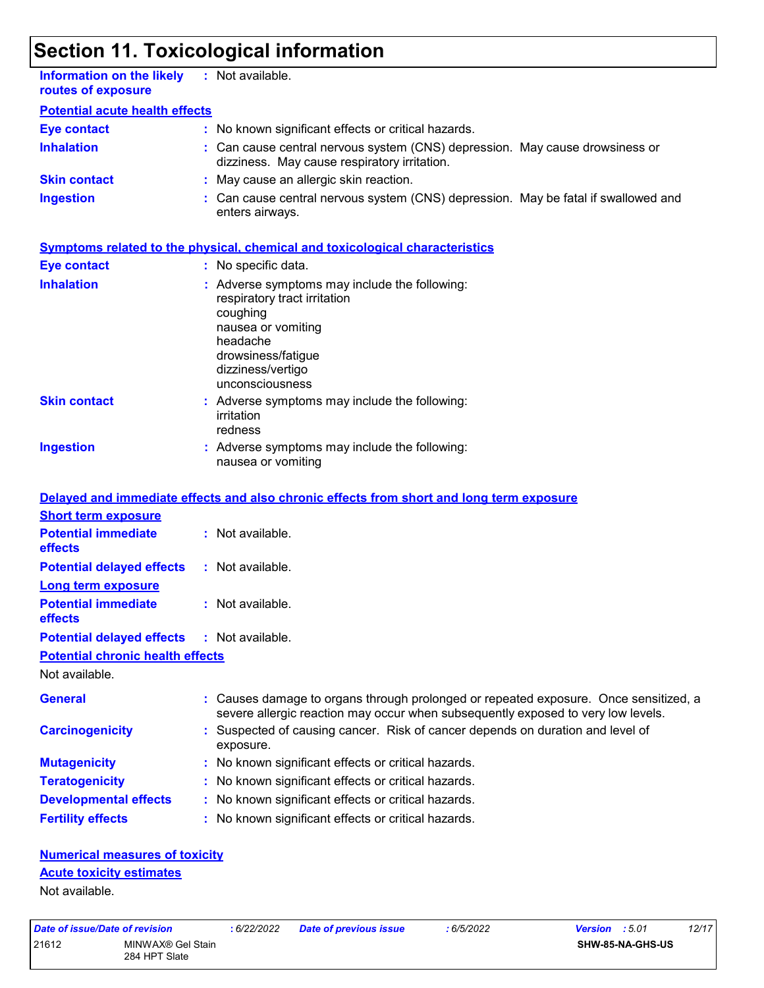# **Section 11. Toxicological information**

| <b>Information on the likely</b><br>routes of exposure    | : Not available.                                                                                                                                                                          |
|-----------------------------------------------------------|-------------------------------------------------------------------------------------------------------------------------------------------------------------------------------------------|
| <b>Potential acute health effects</b>                     |                                                                                                                                                                                           |
| <b>Eye contact</b>                                        | : No known significant effects or critical hazards.                                                                                                                                       |
| <b>Inhalation</b>                                         | : Can cause central nervous system (CNS) depression. May cause drowsiness or<br>dizziness. May cause respiratory irritation.                                                              |
| <b>Skin contact</b>                                       | : May cause an allergic skin reaction.                                                                                                                                                    |
| <b>Ingestion</b>                                          | : Can cause central nervous system (CNS) depression. May be fatal if swallowed and<br>enters airways.                                                                                     |
|                                                           | <b>Symptoms related to the physical, chemical and toxicological characteristics</b>                                                                                                       |
| <b>Eye contact</b>                                        | : No specific data.                                                                                                                                                                       |
| <b>Inhalation</b>                                         | : Adverse symptoms may include the following:<br>respiratory tract irritation<br>coughing<br>nausea or vomiting<br>headache<br>drowsiness/fatigue<br>dizziness/vertigo<br>unconsciousness |
| <b>Skin contact</b>                                       | : Adverse symptoms may include the following:<br>irritation<br>redness                                                                                                                    |
| <b>Ingestion</b>                                          | : Adverse symptoms may include the following:<br>nausea or vomiting                                                                                                                       |
|                                                           | Delayed and immediate effects and also chronic effects from short and long term exposure                                                                                                  |
| <b>Short term exposure</b>                                |                                                                                                                                                                                           |
| <b>Potential immediate</b><br>effects                     | : Not available.                                                                                                                                                                          |
| <b>Potential delayed effects</b>                          | : Not available.                                                                                                                                                                          |
| <b>Long term exposure</b>                                 |                                                                                                                                                                                           |
| <b>Potential immediate</b><br>effects                     | : Not available.                                                                                                                                                                          |
| <b>Potential delayed effects</b>                          | : Not available.                                                                                                                                                                          |
| <b>Potential chronic health effects</b><br>Not available. |                                                                                                                                                                                           |
| <b>General</b>                                            | : Causes damage to organs through prolonged or repeated exposure. Once sensitized, a<br>severe allergic reaction may occur when subsequently exposed to very low levels.                  |
| <b>Carcinogenicity</b>                                    | : Suspected of causing cancer. Risk of cancer depends on duration and level of<br>exposure.                                                                                               |
| <b>Mutagenicity</b>                                       | : No known significant effects or critical hazards.                                                                                                                                       |
| <b>Teratogenicity</b>                                     | : No known significant effects or critical hazards.                                                                                                                                       |
| <b>Developmental effects</b>                              | : No known significant effects or critical hazards.                                                                                                                                       |
| <b>Fertility effects</b>                                  | : No known significant effects or critical hazards.                                                                                                                                       |
|                                                           |                                                                                                                                                                                           |

### **Numerical measures of toxicity**

### **Acute toxicity estimates**

Not available.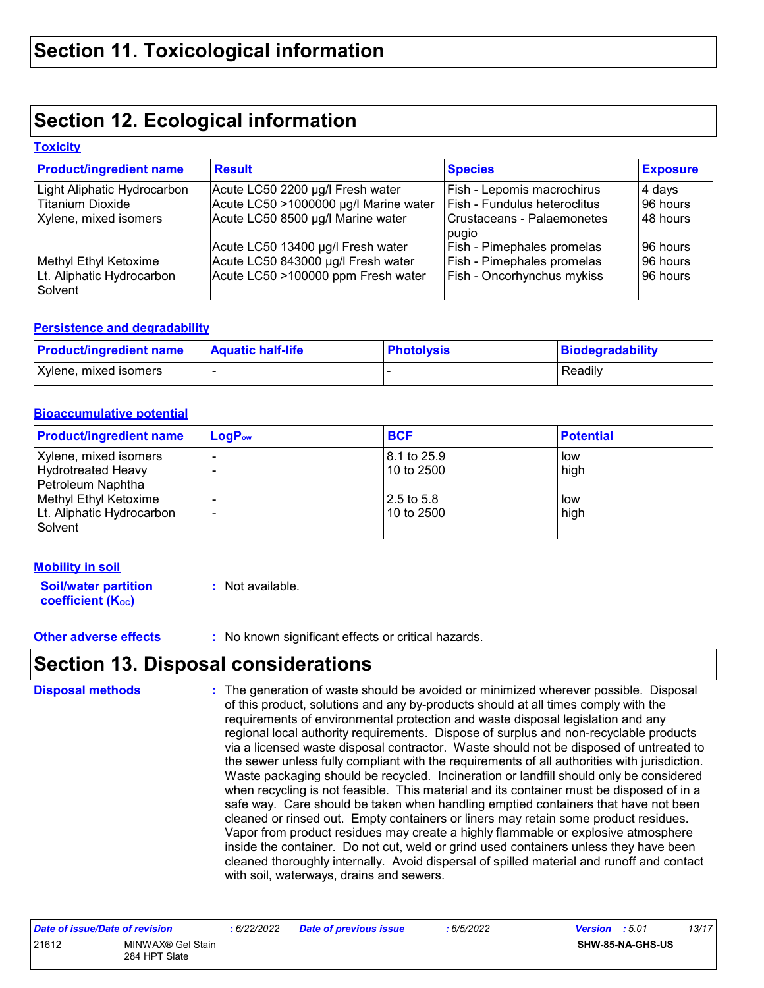## **Section 12. Ecological information**

#### **Toxicity**

| <b>Product/ingredient name</b>       | <b>Result</b>                         | <b>Species</b>               | <b>Exposure</b> |
|--------------------------------------|---------------------------------------|------------------------------|-----------------|
| Light Aliphatic Hydrocarbon          | Acute LC50 2200 µg/l Fresh water      | Fish - Lepomis macrochirus   | 4 days          |
| <b>Titanium Dioxide</b>              | Acute LC50 >1000000 µg/l Marine water | Fish - Fundulus heteroclitus | 96 hours        |
| Xylene, mixed isomers                | Acute LC50 8500 µg/l Marine water     | Crustaceans - Palaemonetes   | 48 hours        |
|                                      |                                       | pugio                        |                 |
|                                      | Acute LC50 13400 µg/l Fresh water     | Fish - Pimephales promelas   | 96 hours        |
| Methyl Ethyl Ketoxime                | Acute LC50 843000 µg/l Fresh water    | Fish - Pimephales promelas   | 96 hours        |
| Lt. Aliphatic Hydrocarbon<br>Solvent | Acute LC50 >100000 ppm Fresh water    | Fish - Oncorhynchus mykiss   | 96 hours        |

#### **Persistence and degradability**

| <b>Product/ingredient name</b> | <b>Aquatic half-life</b> | <b>Photolysis</b> | Biodegradability |
|--------------------------------|--------------------------|-------------------|------------------|
| Xylene, mixed isomers          |                          |                   | Readily          |

#### **Bioaccumulative potential**

| <b>Product/ingredient name</b>                                                                                                    | $LogP_{ow}$ | <b>BCF</b>                                               | <b>Potential</b>           |
|-----------------------------------------------------------------------------------------------------------------------------------|-------------|----------------------------------------------------------|----------------------------|
| Xylene, mixed isomers<br>Hydrotreated Heavy<br>Petroleum Naphtha<br>Methyl Ethyl Ketoxime<br>Lt. Aliphatic Hydrocarbon<br>Solvent |             | 8.1 to 25.9<br>10 to 2500<br>$12.5$ to 5.8<br>10 to 2500 | low<br>high<br>low<br>high |

#### **Mobility in soil**

| <b>Soil/water partition</b> | : Not available. |
|-----------------------------|------------------|
| <b>coefficient (Koc)</b>    |                  |

**Other adverse effects** : No known significant effects or critical hazards.

### **Section 13. Disposal considerations**

The generation of waste should be avoided or minimized wherever possible. Disposal of this product, solutions and any by-products should at all times comply with the requirements of environmental protection and waste disposal legislation and any regional local authority requirements. Dispose of surplus and non-recyclable products via a licensed waste disposal contractor. Waste should not be disposed of untreated to the sewer unless fully compliant with the requirements of all authorities with jurisdiction. Waste packaging should be recycled. Incineration or landfill should only be considered when recycling is not feasible. This material and its container must be disposed of in a safe way. Care should be taken when handling emptied containers that have not been cleaned or rinsed out. Empty containers or liners may retain some product residues. Vapor from product residues may create a highly flammable or explosive atmosphere inside the container. Do not cut, weld or grind used containers unless they have been cleaned thoroughly internally. Avoid dispersal of spilled material and runoff and contact with soil, waterways, drains and sewers. **Disposal methods :**

| Date of issue/Date of revision |                                    | : 6/22/2022 | <b>Date of previous issue</b> | : 6/5/2022 | <b>Version</b> : 5.01 |                  | 13/17 |
|--------------------------------|------------------------------------|-------------|-------------------------------|------------|-----------------------|------------------|-------|
| 21612                          | MINWAX® Gel Stain<br>284 HPT Slate |             |                               |            |                       | SHW-85-NA-GHS-US |       |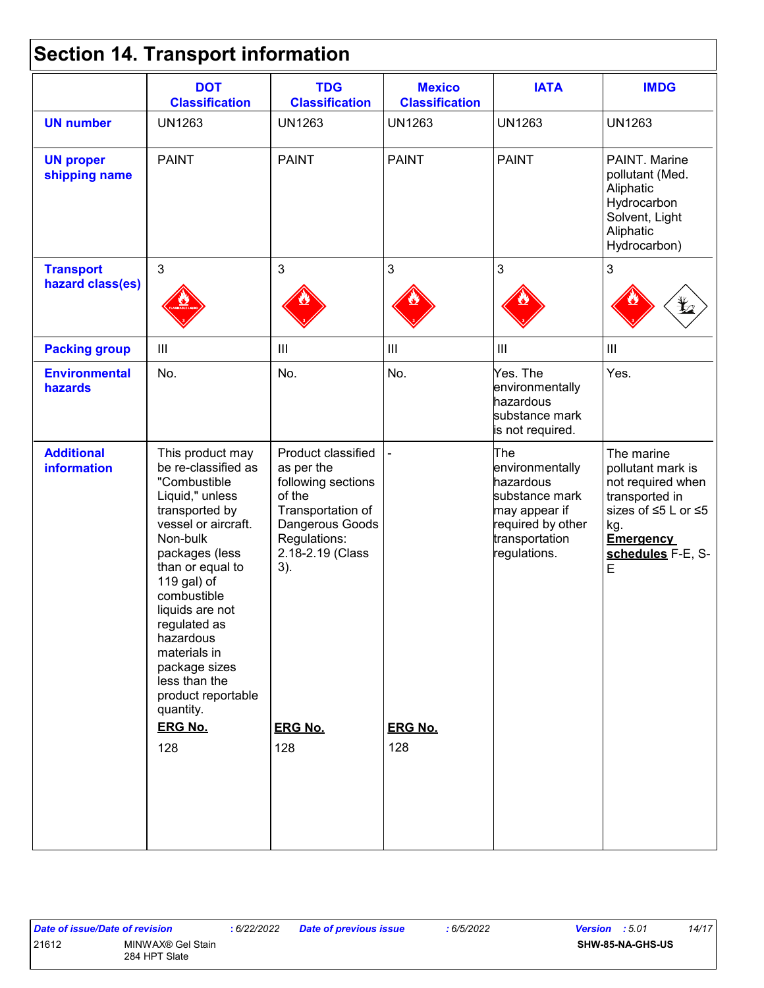# **Section 14. Transport information**

|                                   | <b>DOT</b><br><b>Classification</b>                                                                                                                                                                                                                                                                                                                               | <b>TDG</b><br><b>Classification</b>                                                                                                                                          | <b>Mexico</b><br><b>Classification</b> | <b>IATA</b>                                                                                                                   | <b>IMDG</b>                                                                                                                                                  |
|-----------------------------------|-------------------------------------------------------------------------------------------------------------------------------------------------------------------------------------------------------------------------------------------------------------------------------------------------------------------------------------------------------------------|------------------------------------------------------------------------------------------------------------------------------------------------------------------------------|----------------------------------------|-------------------------------------------------------------------------------------------------------------------------------|--------------------------------------------------------------------------------------------------------------------------------------------------------------|
| <b>UN number</b>                  | <b>UN1263</b>                                                                                                                                                                                                                                                                                                                                                     | <b>UN1263</b>                                                                                                                                                                | <b>UN1263</b>                          | <b>UN1263</b>                                                                                                                 | <b>UN1263</b>                                                                                                                                                |
| <b>UN proper</b><br>shipping name | <b>PAINT</b>                                                                                                                                                                                                                                                                                                                                                      | <b>PAINT</b>                                                                                                                                                                 | <b>PAINT</b>                           | <b>PAINT</b>                                                                                                                  | PAINT. Marine<br>pollutant (Med.<br>Aliphatic<br>Hydrocarbon<br>Solvent, Light<br>Aliphatic<br>Hydrocarbon)                                                  |
| <b>Transport</b>                  | $\mathfrak{S}$                                                                                                                                                                                                                                                                                                                                                    | 3                                                                                                                                                                            | $\mathbf{3}$                           | 3                                                                                                                             | $\mathfrak{S}$                                                                                                                                               |
| hazard class(es)                  |                                                                                                                                                                                                                                                                                                                                                                   |                                                                                                                                                                              |                                        |                                                                                                                               |                                                                                                                                                              |
| <b>Packing group</b>              | $\mathop{\rm III}$                                                                                                                                                                                                                                                                                                                                                | Ш                                                                                                                                                                            | $\ensuremath{\mathsf{III}}\xspace$     | $\mathop{\rm III}$                                                                                                            | $\ensuremath{\mathsf{III}}\xspace$                                                                                                                           |
| <b>Environmental</b><br>hazards   | No.                                                                                                                                                                                                                                                                                                                                                               | No.                                                                                                                                                                          | No.                                    | Yes. The<br>environmentally<br>hazardous<br>substance mark<br>is not required.                                                | Yes.                                                                                                                                                         |
| <b>Additional</b><br>information  | This product may<br>be re-classified as<br>"Combustible<br>Liquid," unless<br>transported by<br>vessel or aircraft.<br>Non-bulk<br>packages (less<br>than or equal to<br>119 gal) of<br>combustible<br>liquids are not<br>regulated as<br>hazardous<br>materials in<br>package sizes<br>less than the<br>product reportable<br>quantity.<br><b>ERG No.</b><br>128 | Product classified<br>as per the<br>following sections<br>of the<br>Transportation of<br>Dangerous Goods<br>Regulations:<br>2.18-2.19 (Class<br>3).<br><b>ERG No.</b><br>128 | <b>ERG No.</b><br>128                  | The<br>environmentally<br>hazardous<br>substance mark<br>may appear if<br>required by other<br>transportation<br>regulations. | The marine<br>pollutant mark is<br>not required when<br>transported in<br>sizes of ≤5 L or ≤5<br>kg.<br><b>Emergency</b><br>schedules F-E, S-<br>$\mathsf E$ |

#### 21612 MINWAX® Gel Stain 284 HPT Slate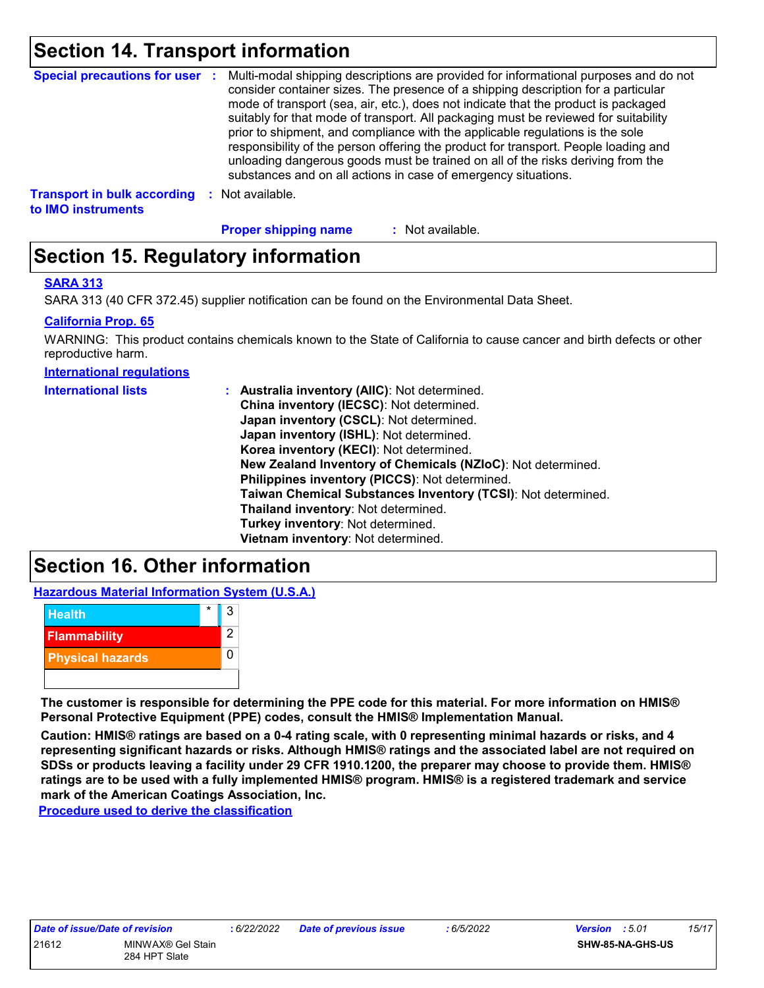### **Section 14. Transport information**

| <b>Special precautions for user :</b>                    |          | Multi-modal shipping descriptions are provided for informational purposes and do not<br>consider container sizes. The presence of a shipping description for a particular<br>mode of transport (sea, air, etc.), does not indicate that the product is packaged<br>suitably for that mode of transport. All packaging must be reviewed for suitability<br>prior to shipment, and compliance with the applicable regulations is the sole<br>responsibility of the person offering the product for transport. People loading and<br>unloading dangerous goods must be trained on all of the risks deriving from the<br>substances and on all actions in case of emergency situations. |
|----------------------------------------------------------|----------|-------------------------------------------------------------------------------------------------------------------------------------------------------------------------------------------------------------------------------------------------------------------------------------------------------------------------------------------------------------------------------------------------------------------------------------------------------------------------------------------------------------------------------------------------------------------------------------------------------------------------------------------------------------------------------------|
| <b>Transport in bulk according</b><br>to IMO instruments | <b>P</b> | Not available.                                                                                                                                                                                                                                                                                                                                                                                                                                                                                                                                                                                                                                                                      |

**Proper shipping name :**

: Not available.

## **Section 15. Regulatory information**

#### **SARA 313**

SARA 313 (40 CFR 372.45) supplier notification can be found on the Environmental Data Sheet.

#### **California Prop. 65**

WARNING: This product contains chemicals known to the State of California to cause cancer and birth defects or other reproductive harm.

**International regulations**

| <b>International lists</b> | : Australia inventory (AIIC): Not determined.                |
|----------------------------|--------------------------------------------------------------|
|                            | China inventory (IECSC): Not determined.                     |
|                            | Japan inventory (CSCL): Not determined.                      |
|                            | Japan inventory (ISHL): Not determined.                      |
|                            | Korea inventory (KECI): Not determined.                      |
|                            | New Zealand Inventory of Chemicals (NZIoC): Not determined.  |
|                            | Philippines inventory (PICCS): Not determined.               |
|                            | Taiwan Chemical Substances Inventory (TCSI): Not determined. |
|                            | Thailand inventory: Not determined.                          |
|                            | Turkey inventory: Not determined.                            |
|                            | Vietnam inventory: Not determined.                           |

### **Section 16. Other information**

**Hazardous Material Information System (U.S.A.)**



**The customer is responsible for determining the PPE code for this material. For more information on HMIS® Personal Protective Equipment (PPE) codes, consult the HMIS® Implementation Manual.**

**Caution: HMIS® ratings are based on a 0-4 rating scale, with 0 representing minimal hazards or risks, and 4 representing significant hazards or risks. Although HMIS® ratings and the associated label are not required on SDSs or products leaving a facility under 29 CFR 1910.1200, the preparer may choose to provide them. HMIS® ratings are to be used with a fully implemented HMIS® program. HMIS® is a registered trademark and service mark of the American Coatings Association, Inc.**

**Procedure used to derive the classification**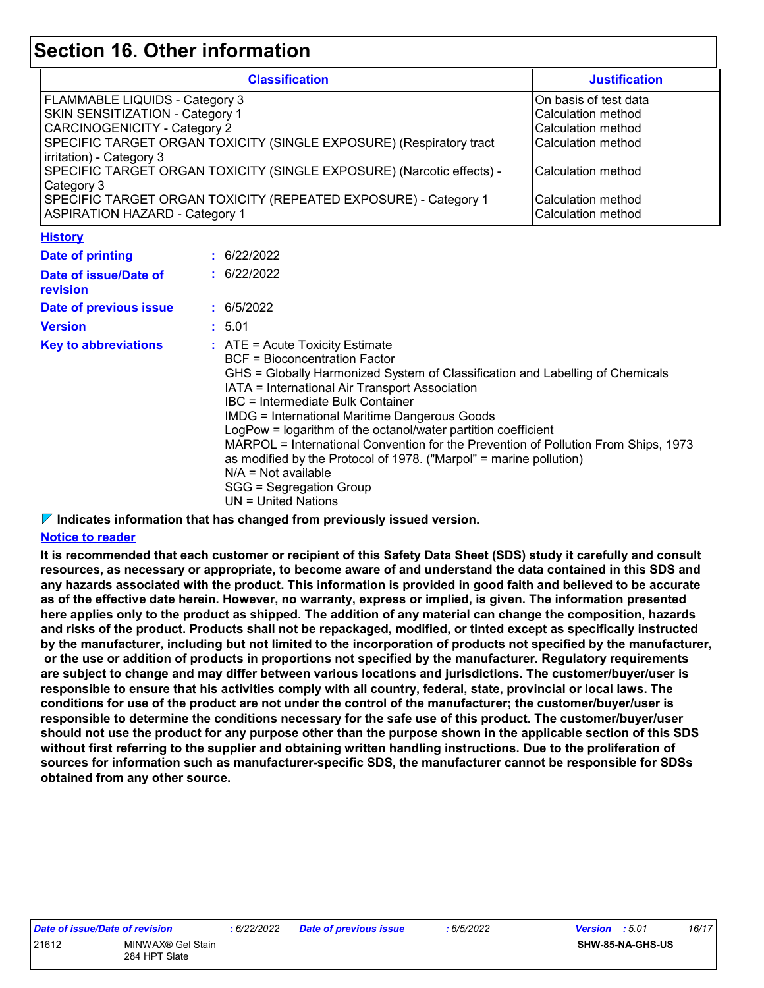### **Section 16. Other information**

| <b>Classification</b>                                                 | <b>Justification</b>  |
|-----------------------------------------------------------------------|-----------------------|
| <b>FLAMMABLE LIQUIDS - Category 3</b>                                 | On basis of test data |
| <b>SKIN SENSITIZATION - Category 1</b>                                | Calculation method    |
| <b>CARCINOGENICITY - Category 2</b>                                   | Calculation method    |
| SPECIFIC TARGET ORGAN TOXICITY (SINGLE EXPOSURE) (Respiratory tract   | Calculation method    |
| irritation) - Category 3                                              |                       |
| SPECIFIC TARGET ORGAN TOXICITY (SINGLE EXPOSURE) (Narcotic effects) - | Calculation method    |
| Category 3                                                            |                       |
| SPECIFIC TARGET ORGAN TOXICITY (REPEATED EXPOSURE) - Category 1       | Calculation method    |
| <b>ASPIRATION HAZARD - Category 1</b>                                 | Calculation method    |

**History**

| <b>Date of printing</b>           | : 6/22/2022                                                                                                                                                                                                                                                                                                                                                                                                                                                                                                                                                                                                         |
|-----------------------------------|---------------------------------------------------------------------------------------------------------------------------------------------------------------------------------------------------------------------------------------------------------------------------------------------------------------------------------------------------------------------------------------------------------------------------------------------------------------------------------------------------------------------------------------------------------------------------------------------------------------------|
| Date of issue/Date of<br>revision | : 6/22/2022                                                                                                                                                                                                                                                                                                                                                                                                                                                                                                                                                                                                         |
| Date of previous issue            | : 6/5/2022                                                                                                                                                                                                                                                                                                                                                                                                                                                                                                                                                                                                          |
| <b>Version</b>                    | : 5.01                                                                                                                                                                                                                                                                                                                                                                                                                                                                                                                                                                                                              |
| <b>Key to abbreviations</b>       | $\therefore$ ATE = Acute Toxicity Estimate<br>BCF = Bioconcentration Factor<br>GHS = Globally Harmonized System of Classification and Labelling of Chemicals<br>IATA = International Air Transport Association<br>IBC = Intermediate Bulk Container<br><b>IMDG</b> = International Maritime Dangerous Goods<br>LogPow = logarithm of the octanol/water partition coefficient<br>MARPOL = International Convention for the Prevention of Pollution From Ships, 1973<br>as modified by the Protocol of 1978. ("Marpol" = marine pollution)<br>$N/A = Not available$<br>SGG = Segregation Group<br>UN = United Nations |

**Indicates information that has changed from previously issued version.**

#### **Notice to reader**

**It is recommended that each customer or recipient of this Safety Data Sheet (SDS) study it carefully and consult resources, as necessary or appropriate, to become aware of and understand the data contained in this SDS and any hazards associated with the product. This information is provided in good faith and believed to be accurate as of the effective date herein. However, no warranty, express or implied, is given. The information presented here applies only to the product as shipped. The addition of any material can change the composition, hazards and risks of the product. Products shall not be repackaged, modified, or tinted except as specifically instructed by the manufacturer, including but not limited to the incorporation of products not specified by the manufacturer, or the use or addition of products in proportions not specified by the manufacturer. Regulatory requirements are subject to change and may differ between various locations and jurisdictions. The customer/buyer/user is responsible to ensure that his activities comply with all country, federal, state, provincial or local laws. The conditions for use of the product are not under the control of the manufacturer; the customer/buyer/user is responsible to determine the conditions necessary for the safe use of this product. The customer/buyer/user should not use the product for any purpose other than the purpose shown in the applicable section of this SDS without first referring to the supplier and obtaining written handling instructions. Due to the proliferation of sources for information such as manufacturer-specific SDS, the manufacturer cannot be responsible for SDSs obtained from any other source.**